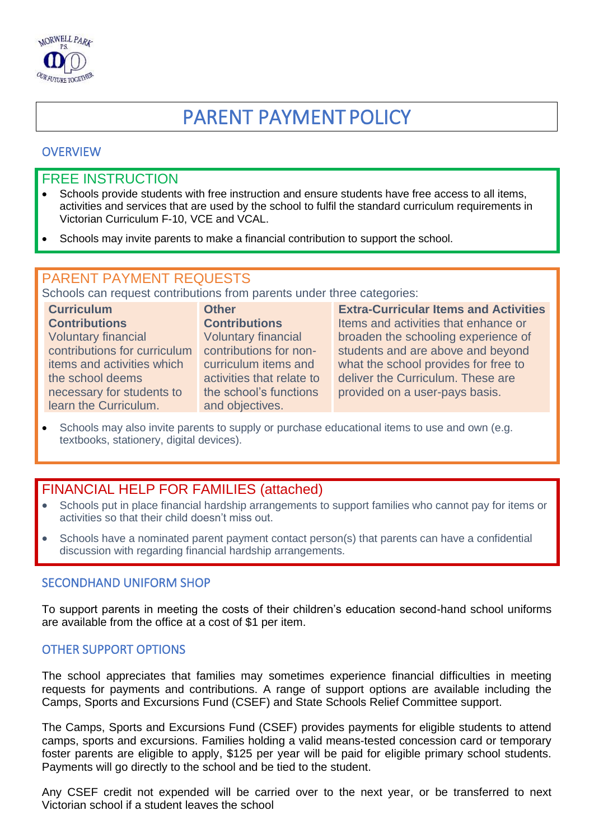

# PARENT PAYMENT POLICY

## **OVERVIEW**

## FREE INSTRUCTION

- Schools provide students with free instruction and ensure students have free access to all items, activities and services that are used by the school to fulfil the standard curriculum requirements in Victorian Curriculum F-10, VCE and VCAL.
- Schools may invite parents to make a financial contribution to support the school.

## PARENT PAYMENT REQUESTS

Schools can request contributions from parents under three categories:

| <b>Curriculum</b>            | <b>Other</b>               | <b>Extra-Curricular Items and Activities</b> |
|------------------------------|----------------------------|----------------------------------------------|
| <b>Contributions</b>         | <b>Contributions</b>       | Items and activities that enhance or         |
| <b>Voluntary financial</b>   | <b>Voluntary financial</b> | broaden the schooling experience of          |
| contributions for curriculum | contributions for non-     | students and are above and beyond            |
| items and activities which   | curriculum items and       | what the school provides for free to         |
| the school deems             | activities that relate to  | deliver the Curriculum. These are            |
| necessary for students to    | the school's functions     | provided on a user-pays basis.               |
| learn the Curriculum.        | and objectives.            |                                              |

• Schools may also invite parents to supply or purchase educational items to use and own (e.g. textbooks, stationery, digital devices).

## FINANCIAL HELP FOR FAMILIES (attached)

- Schools put in place financial hardship arrangements to support families who cannot pay for items or activities so that their child doesn't miss out.
- Schools have a nominated parent payment contact person(s) that parents can have a confidential discussion with regarding financial hardship arrangements.

#### SECONDHAND UNIFORM SHOP

To support parents in meeting the costs of their children's education second-hand school uniforms are available from the office at a cost of \$1 per item.

#### OTHER SUPPORT OPTIONS

The school appreciates that families may sometimes experience financial difficulties in meeting requests for payments and contributions. A range of support options are available including the Camps, Sports and Excursions Fund (CSEF) and State Schools Relief Committee support.

The Camps, Sports and Excursions Fund (CSEF) provides payments for eligible students to attend camps, sports and excursions. Families holding a valid means-tested concession card or temporary foster parents are eligible to apply, \$125 per year will be paid for eligible primary school students. Payments will go directly to the school and be tied to the student.

Any CSEF credit not expended will be carried over to the next year, or be transferred to next Victorian school if a student leaves the school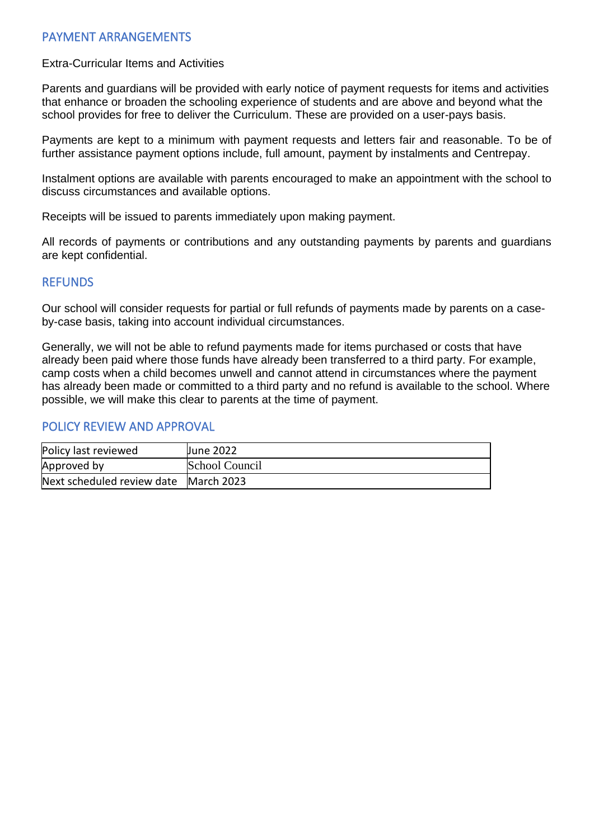## PAYMENT ARRANGEMENTS

#### Extra-Curricular Items and Activities

Parents and guardians will be provided with early notice of payment requests for items and activities that enhance or broaden the schooling experience of students and are above and beyond what the school provides for free to deliver the Curriculum. These are provided on a user-pays basis.

Payments are kept to a minimum with payment requests and letters fair and reasonable. To be of further assistance payment options include, full amount, payment by instalments and Centrepay.

Instalment options are available with parents encouraged to make an appointment with the school to discuss circumstances and available options.

Receipts will be issued to parents immediately upon making payment.

All records of payments or contributions and any outstanding payments by parents and guardians are kept confidential.

## **REFUNDS**

Our school will consider requests for partial or full refunds of payments made by parents on a caseby-case basis, taking into account individual circumstances.

Generally, we will not be able to refund payments made for items purchased or costs that have already been paid where those funds have already been transferred to a third party. For example, camp costs when a child becomes unwell and cannot attend in circumstances where the payment has already been made or committed to a third party and no refund is available to the school. Where possible, we will make this clear to parents at the time of payment.

#### POLICY REVIEW AND APPROVAL

| Policy last reviewed                  | June 2022      |
|---------------------------------------|----------------|
| Approved by                           | School Council |
| Next scheduled review date March 2023 |                |